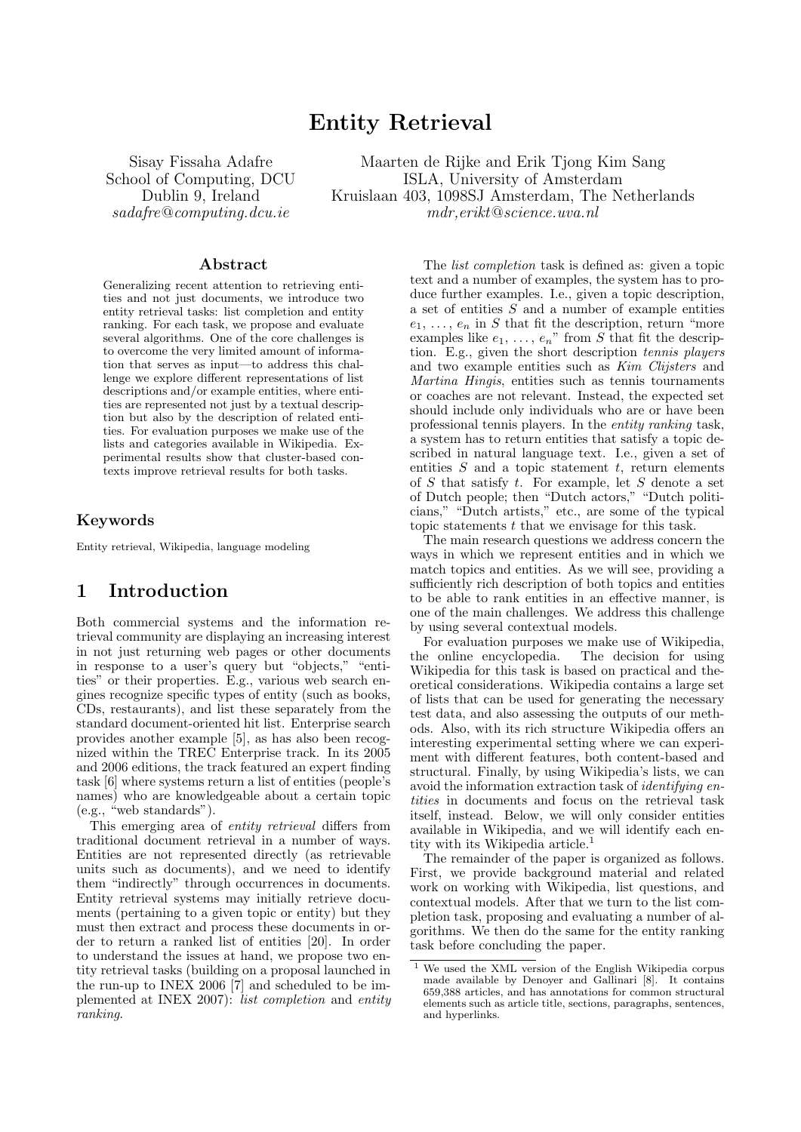# Entity Retrieval

Sisay Fissaha Adafre School of Computing, DCU Dublin 9, Ireland sadafre@computing.dcu.ie

Maarten de Rijke and Erik Tjong Kim Sang ISLA, University of Amsterdam Kruislaan 403, 1098SJ Amsterdam, The Netherlands mdr,erikt@science.uva.nl

#### Abstract

Generalizing recent attention to retrieving entities and not just documents, we introduce two entity retrieval tasks: list completion and entity ranking. For each task, we propose and evaluate several algorithms. One of the core challenges is to overcome the very limited amount of information that serves as input—to address this challenge we explore different representations of list descriptions and/or example entities, where entities are represented not just by a textual description but also by the description of related entities. For evaluation purposes we make use of the lists and categories available in Wikipedia. Experimental results show that cluster-based contexts improve retrieval results for both tasks.

### Keywords

Entity retrieval, Wikipedia, language modeling

## 1 Introduction

Both commercial systems and the information retrieval community are displaying an increasing interest in not just returning web pages or other documents in response to a user's query but "objects," "entities" or their properties. E.g., various web search engines recognize specific types of entity (such as books, CDs, restaurants), and list these separately from the standard document-oriented hit list. Enterprise search provides another example [5], as has also been recognized within the TREC Enterprise track. In its 2005 and 2006 editions, the track featured an expert finding task [6] where systems return a list of entities (people's names) who are knowledgeable about a certain topic (e.g., "web standards").

This emerging area of *entity retrieval* differs from traditional document retrieval in a number of ways. Entities are not represented directly (as retrievable units such as documents), and we need to identify them "indirectly" through occurrences in documents. Entity retrieval systems may initially retrieve documents (pertaining to a given topic or entity) but they must then extract and process these documents in order to return a ranked list of entities [20]. In order to understand the issues at hand, we propose two entity retrieval tasks (building on a proposal launched in the run-up to INEX 2006 [7] and scheduled to be implemented at INEX 2007): list completion and entity ranking.

The list completion task is defined as: given a topic text and a number of examples, the system has to produce further examples. I.e., given a topic description, a set of entities S and a number of example entities  $e_1, \ldots, e_n$  in S that fit the description, return "more" examples like  $e_1, \ldots, e_n$ " from S that fit the description. E.g., given the short description tennis players and two example entities such as Kim Clijsters and Martina Hingis, entities such as tennis tournaments or coaches are not relevant. Instead, the expected set should include only individuals who are or have been professional tennis players. In the entity ranking task, a system has to return entities that satisfy a topic described in natural language text. I.e., given a set of entities  $S$  and a topic statement  $t$ , return elements of  $S$  that satisfy  $t$ . For example, let  $S$  denote a set of Dutch people; then "Dutch actors," "Dutch politicians," "Dutch artists," etc., are some of the typical topic statements  $t$  that we envisage for this task.

The main research questions we address concern the ways in which we represent entities and in which we match topics and entities. As we will see, providing a sufficiently rich description of both topics and entities to be able to rank entities in an effective manner, is one of the main challenges. We address this challenge by using several contextual models.

For evaluation purposes we make use of Wikipedia, the online encyclopedia. The decision for using Wikipedia for this task is based on practical and theoretical considerations. Wikipedia contains a large set of lists that can be used for generating the necessary test data, and also assessing the outputs of our methods. Also, with its rich structure Wikipedia offers an interesting experimental setting where we can experiment with different features, both content-based and structural. Finally, by using Wikipedia's lists, we can avoid the information extraction task of identifying entities in documents and focus on the retrieval task itself, instead. Below, we will only consider entities available in Wikipedia, and we will identify each entity with its Wikipedia article.<sup>1</sup>

The remainder of the paper is organized as follows. First, we provide background material and related work on working with Wikipedia, list questions, and contextual models. After that we turn to the list completion task, proposing and evaluating a number of algorithms. We then do the same for the entity ranking task before concluding the paper.

We used the XML version of the English Wikipedia corpus made available by Denoyer and Gallinari [8]. It contains 659,388 articles, and has annotations for common structural elements such as article title, sections, paragraphs, sentences, and hyperlinks.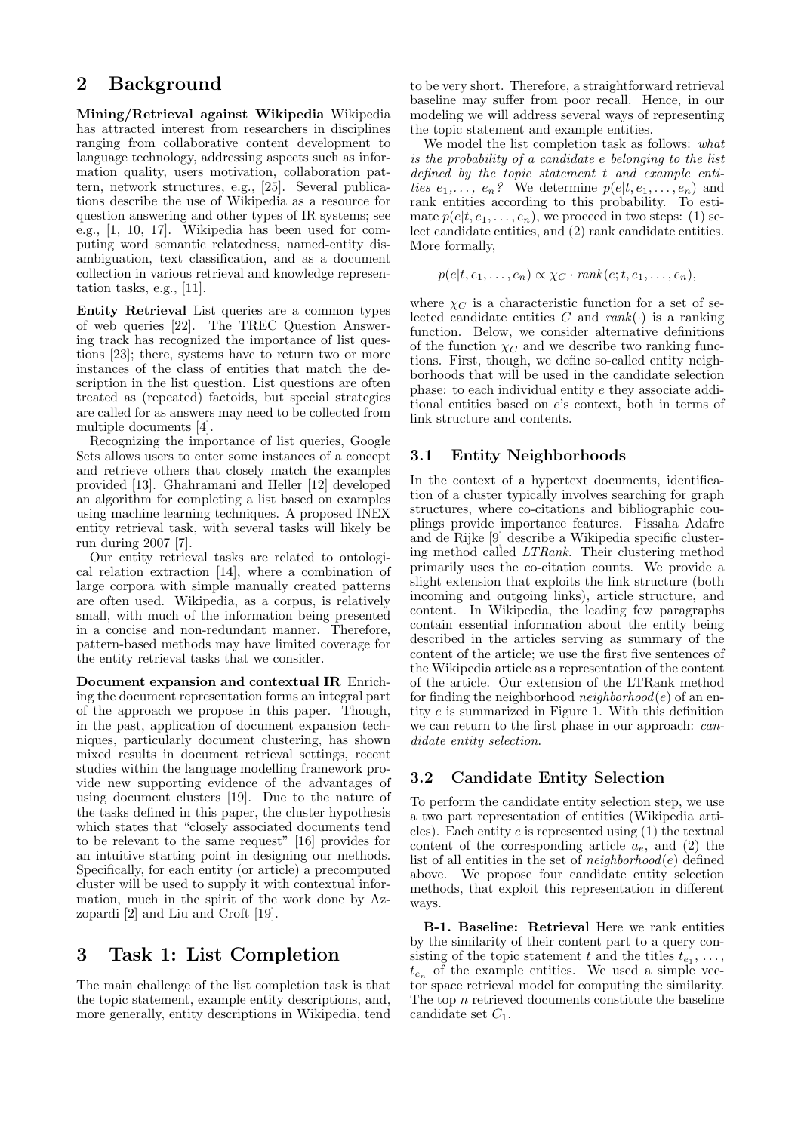## 2 Background

Mining/Retrieval against Wikipedia Wikipedia has attracted interest from researchers in disciplines ranging from collaborative content development to language technology, addressing aspects such as information quality, users motivation, collaboration pattern, network structures, e.g., [25]. Several publications describe the use of Wikipedia as a resource for question answering and other types of IR systems; see e.g., [1, 10, 17]. Wikipedia has been used for computing word semantic relatedness, named-entity disambiguation, text classification, and as a document collection in various retrieval and knowledge representation tasks, e.g., [11].

Entity Retrieval List queries are a common types of web queries [22]. The TREC Question Answering track has recognized the importance of list questions [23]; there, systems have to return two or more instances of the class of entities that match the description in the list question. List questions are often treated as (repeated) factoids, but special strategies are called for as answers may need to be collected from multiple documents [4].

Recognizing the importance of list queries, Google Sets allows users to enter some instances of a concept and retrieve others that closely match the examples provided [13]. Ghahramani and Heller [12] developed an algorithm for completing a list based on examples using machine learning techniques. A proposed INEX entity retrieval task, with several tasks will likely be run during 2007 [7].

Our entity retrieval tasks are related to ontological relation extraction [14], where a combination of large corpora with simple manually created patterns are often used. Wikipedia, as a corpus, is relatively small, with much of the information being presented in a concise and non-redundant manner. Therefore, pattern-based methods may have limited coverage for the entity retrieval tasks that we consider.

Document expansion and contextual IR Enriching the document representation forms an integral part of the approach we propose in this paper. Though, in the past, application of document expansion techniques, particularly document clustering, has shown mixed results in document retrieval settings, recent studies within the language modelling framework provide new supporting evidence of the advantages of using document clusters [19]. Due to the nature of the tasks defined in this paper, the cluster hypothesis which states that "closely associated documents tend to be relevant to the same request" [16] provides for an intuitive starting point in designing our methods. Specifically, for each entity (or article) a precomputed cluster will be used to supply it with contextual information, much in the spirit of the work done by Azzopardi [2] and Liu and Croft [19].

## 3 Task 1: List Completion

The main challenge of the list completion task is that the topic statement, example entity descriptions, and, more generally, entity descriptions in Wikipedia, tend to be very short. Therefore, a straightforward retrieval baseline may suffer from poor recall. Hence, in our modeling we will address several ways of representing the topic statement and example entities.

We model the list completion task as follows: what is the probability of a candidate e belonging to the list defined by the topic statement t and example entities  $e_1, \ldots, e_n$ ? We determine  $p(e|t, e_1, \ldots, e_n)$  and rank entities according to this probability. To estimate  $p(e|t, e_1, \ldots, e_n)$ , we proceed in two steps: (1) select candidate entities, and (2) rank candidate entities. More formally,

$$
p(e|t, e_1, \ldots, e_n) \propto \chi_C \cdot rank(e; t, e_1, \ldots, e_n),
$$

where  $\chi_C$  is a characteristic function for a set of selected candidate entities C and  $rank(\cdot)$  is a ranking function. Below, we consider alternative definitions of the function  $\chi_C$  and we describe two ranking functions. First, though, we define so-called entity neighborhoods that will be used in the candidate selection phase: to each individual entity e they associate additional entities based on e's context, both in terms of link structure and contents.

### 3.1 Entity Neighborhoods

In the context of a hypertext documents, identification of a cluster typically involves searching for graph structures, where co-citations and bibliographic couplings provide importance features. Fissaha Adafre and de Rijke [9] describe a Wikipedia specific clustering method called LTRank. Their clustering method primarily uses the co-citation counts. We provide a slight extension that exploits the link structure (both incoming and outgoing links), article structure, and content. In Wikipedia, the leading few paragraphs contain essential information about the entity being described in the articles serving as summary of the content of the article; we use the first five sentences of the Wikipedia article as a representation of the content of the article. Our extension of the LTRank method for finding the neighborhood  $neighborhood(e)$  of an entity e is summarized in Figure 1. With this definition we can return to the first phase in our approach: *can*didate entity selection.

### 3.2 Candidate Entity Selection

To perform the candidate entity selection step, we use a two part representation of entities (Wikipedia articles). Each entity  $e$  is represented using  $(1)$  the textual content of the corresponding article  $a_e$ , and (2) the list of all entities in the set of  $neighborhood(e)$  defined above. We propose four candidate entity selection methods, that exploit this representation in different ways.

B-1. Baseline: Retrieval Here we rank entities by the similarity of their content part to a query consisting of the topic statement t and the titles  $t_{e_1}, \ldots,$  $t_{e_n}$  of the example entities. We used a simple vector space retrieval model for computing the similarity. The top  $n$  retrieved documents constitute the baseline candidate set  $C_1$ .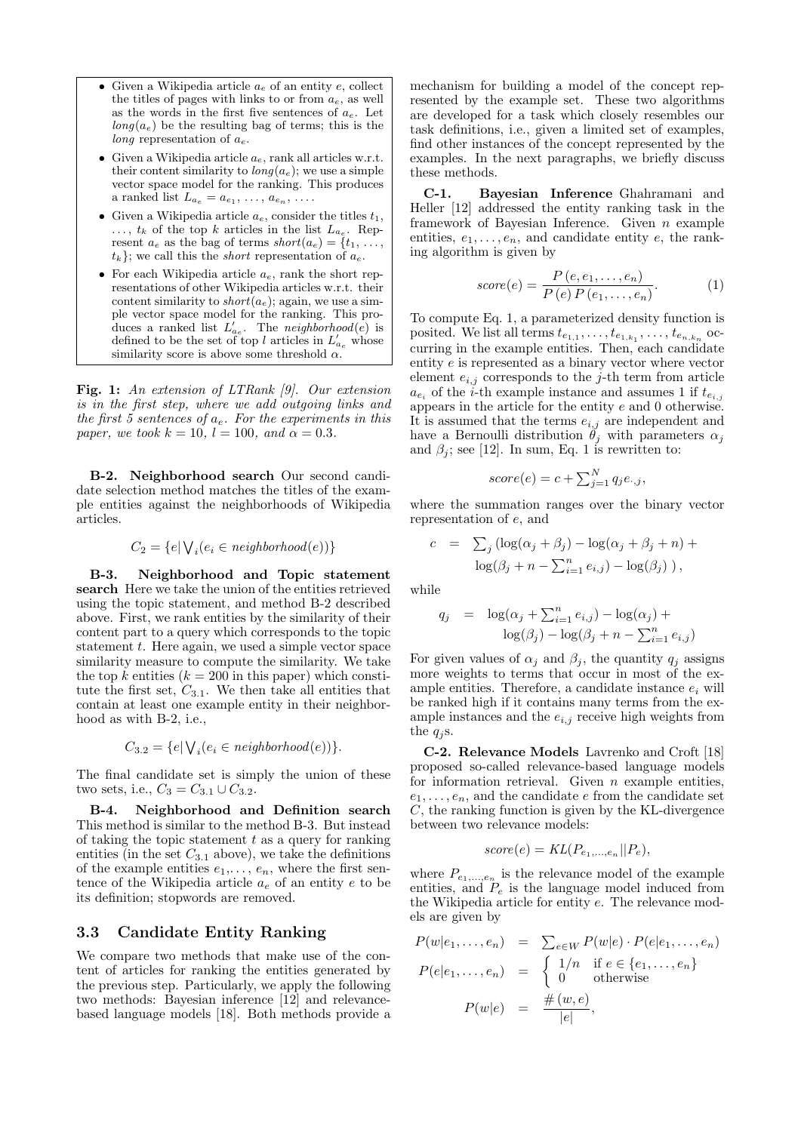- Given a Wikipedia article  $a_e$  of an entity e, collect the titles of pages with links to or from  $a_e$ , as well as the words in the first five sentences of  $a_e$ . Let  $\log(a_e)$  be the resulting bag of terms; this is the long representation of  $a_e$ .
- Given a Wikipedia article  $a_e$ , rank all articles w.r.t. their content similarity to  $\log(a_e)$ ; we use a simple vector space model for the ranking. This produces a ranked list  $L_{a_e} = a_{e_1}, \ldots, a_{e_n}, \ldots$
- Given a Wikipedia article  $a_e$ , consider the titles  $t_1$ ,  $\dots, t_k$  of the top k articles in the list  $L_{a_e}$ . Represent  $a_e$  as the bag of terms  $short(a_e) = \{t_1, \ldots,$  $t_k$ }; we call this the *short* representation of  $a_e$ .
- For each Wikipedia article  $a_e$ , rank the short representations of other Wikipedia articles w.r.t. their content similarity to *short* $(a_e)$ ; again, we use a simple vector space model for the ranking. This produces a ranked list  $L'_{ae}$ . The neighborhood(e) is defined to be the set of top l articles in  $L'_{a_e}$  whose similarity score is above some threshold  $\alpha$ .

Fig. 1: An extension of LTRank [9]. Our extension is in the first step, where we add outgoing links and the first 5 sentences of  $a_e$ . For the experiments in this paper, we took  $k = 10$ ,  $l = 100$ , and  $\alpha = 0.3$ .

B-2. Neighborhood search Our second candidate selection method matches the titles of the example entities against the neighborhoods of Wikipedia articles.

$$
C_2 = \{e | \bigvee_i (e_i \in \mathit{neighborhood}(e))\}
$$

B-3. Neighborhood and Topic statement search Here we take the union of the entities retrieved using the topic statement, and method B-2 described above. First, we rank entities by the similarity of their content part to a query which corresponds to the topic statement  $t$ . Here again, we used a simple vector space similarity measure to compute the similarity. We take the top k entities  $(k = 200$  in this paper) which constitute the first set,  $C_{3.1}$ . We then take all entities that contain at least one example entity in their neighborhood as with B-2, i.e.,

$$
C_{3.2} = \{e | \bigvee_i (e_i \in \mathit{neighborhood}(e))\}.
$$

The final candidate set is simply the union of these two sets, i.e.,  $C_3 = C_{3.1} \cup C_{3.2}$ .

B-4. Neighborhood and Definition search This method is similar to the method B-3. But instead of taking the topic statement  $t$  as a query for ranking entities (in the set  $C_{3,1}$  above), we take the definitions of the example entities  $e_1, \ldots, e_n$ , where the first sentence of the Wikipedia article  $a_e$  of an entity  $e$  to be its definition; stopwords are removed.

### 3.3 Candidate Entity Ranking

We compare two methods that make use of the content of articles for ranking the entities generated by the previous step. Particularly, we apply the following two methods: Bayesian inference [12] and relevancebased language models [18]. Both methods provide a mechanism for building a model of the concept represented by the example set. These two algorithms are developed for a task which closely resembles our task definitions, i.e., given a limited set of examples, find other instances of the concept represented by the examples. In the next paragraphs, we briefly discuss these methods.

C-1. Bayesian Inference Ghahramani and Heller [12] addressed the entity ranking task in the framework of Bayesian Inference. Given n example entities,  $e_1, \ldots, e_n$ , and candidate entity  $e$ , the ranking algorithm is given by

$$
score(e) = \frac{P(e, e_1, \dots, e_n)}{P(e) P(e_1, \dots, e_n)}.
$$
 (1)

To compute Eq. 1, a parameterized density function is posited. We list all terms  $t_{e_{1,1}}, \ldots, t_{e_{1,k_1}}, \ldots, t_{e_{n,k_n}}$  occurring in the example entities. Then, each candidate entity e is represented as a binary vector where vector element  $e_{i,j}$  corresponds to the j-th term from article  $a_{e_i}$  of the i-th example instance and assumes 1 if  $t_{e_{i,j}}$ appears in the article for the entity  $e$  and  $0$  otherwise. It is assumed that the terms  $e_{i,j}$  are independent and have a Bernoulli distribution  $\hat{\theta}_j$  with parameters  $\alpha_j$ and  $\beta_i$ ; see [12]. In sum, Eq. 1 is rewritten to:

$$
score(e) = c + \sum_{j=1}^{N} q_j e_{\cdot,j},
$$

where the summation ranges over the binary vector representation of e, and

$$
c = \sum_j \left( \log(\alpha_j + \beta_j) - \log(\alpha_j + \beta_j + n) + \log(\beta_j + n - \sum_{i=1}^n e_{i,j}) - \log(\beta_j) \right),
$$

while

$$
q_j = \log(\alpha_j + \sum_{i=1}^n e_{i,j}) - \log(\alpha_j) + \log(\beta_j) - \log(\beta_j + n - \sum_{i=1}^n e_{i,j})
$$

For given values of  $\alpha_i$  and  $\beta_i$ , the quantity  $q_i$  assigns more weights to terms that occur in most of the example entities. Therefore, a candidate instance  $e_i$  will be ranked high if it contains many terms from the example instances and the  $e_{i,j}$  receive high weights from the  $q_i$ s.

C-2. Relevance Models Lavrenko and Croft [18] proposed so-called relevance-based language models for information retrieval. Given  $n$  example entities,  $e_1, \ldots, e_n$ , and the candidate  $e$  from the candidate set C, the ranking function is given by the KL-divergence between two relevance models:

$$
score(e) = KL(P_{e_1,\ldots,e_n}||P_e),
$$

where  $P_{e_1,...,e_n}$  is the relevance model of the example entities, and  $P_e$  is the language model induced from the Wikipedia article for entity e. The relevance models are given by

$$
P(w|e_1, \ldots, e_n) = \sum_{e \in W} P(w|e) \cdot P(e|e_1, \ldots, e_n)
$$
  
\n
$$
P(e|e_1, \ldots, e_n) = \begin{cases} 1/n & \text{if } e \in \{e_1, \ldots, e_n\} \\ 0 & \text{otherwise} \end{cases}
$$
  
\n
$$
P(w|e) = \frac{\#(w, e)}{|e|},
$$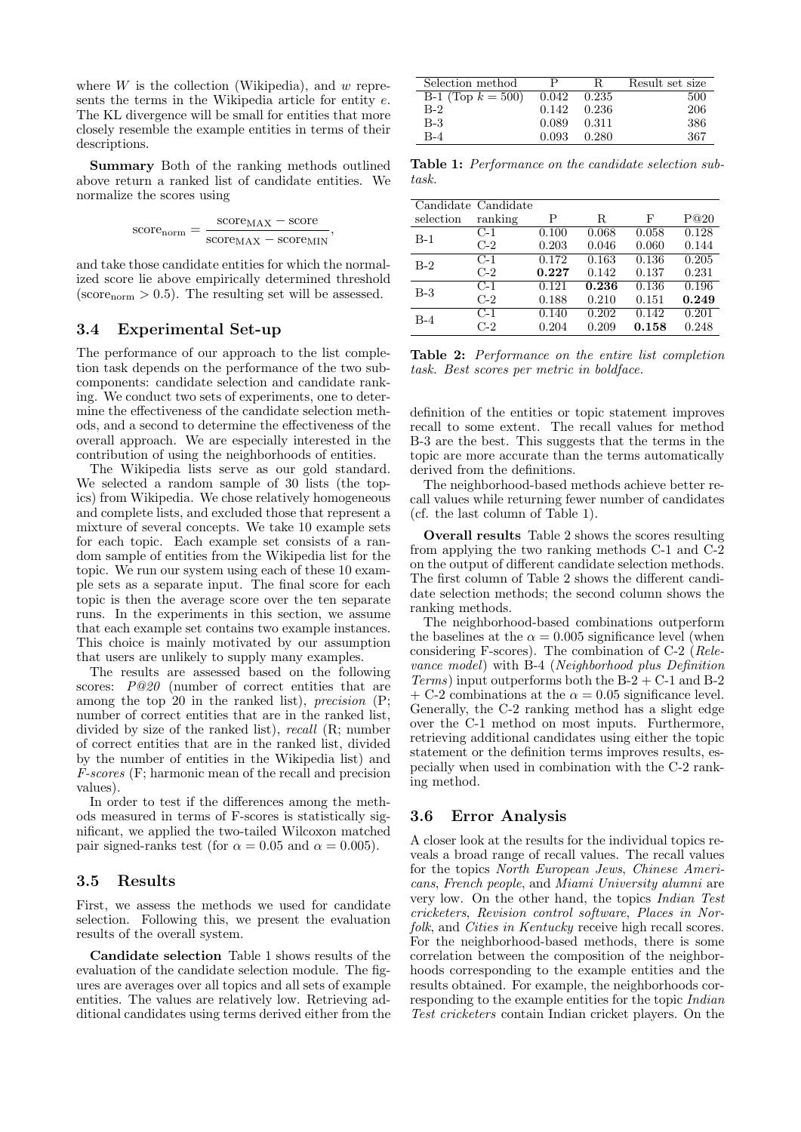where  $W$  is the collection (Wikipedia), and  $w$  represents the terms in the Wikipedia article for entity e. The KL divergence will be small for entities that more closely resemble the example entities in terms of their descriptions.

Summary Both of the ranking methods outlined above return a ranked list of candidate entities. We normalize the scores using

$$
\text{score}_{\text{norm}} = \frac{\text{score}_{\text{MAX}} - \text{score}}{\text{score}_{\text{MAX}} - \text{score}_{\text{MIN}}},
$$

and take those candidate entities for which the normalized score lie above empirically determined threshold (score<sub>norm</sub>  $> 0.5$ ). The resulting set will be assessed.

### 3.4 Experimental Set-up

The performance of our approach to the list completion task depends on the performance of the two subcomponents: candidate selection and candidate ranking. We conduct two sets of experiments, one to determine the effectiveness of the candidate selection methods, and a second to determine the effectiveness of the overall approach. We are especially interested in the contribution of using the neighborhoods of entities.

The Wikipedia lists serve as our gold standard. We selected a random sample of 30 lists (the topics) from Wikipedia. We chose relatively homogeneous and complete lists, and excluded those that represent a mixture of several concepts. We take 10 example sets for each topic. Each example set consists of a random sample of entities from the Wikipedia list for the topic. We run our system using each of these 10 example sets as a separate input. The final score for each topic is then the average score over the ten separate runs. In the experiments in this section, we assume that each example set contains two example instances. This choice is mainly motivated by our assumption that users are unlikely to supply many examples.

The results are assessed based on the following scores: P@20 (number of correct entities that are among the top 20 in the ranked list), precision (P; number of correct entities that are in the ranked list, divided by size of the ranked list), recall (R; number of correct entities that are in the ranked list, divided by the number of entities in the Wikipedia list) and F-scores (F; harmonic mean of the recall and precision values).

In order to test if the differences among the methods measured in terms of F-scores is statistically significant, we applied the two-tailed Wilcoxon matched pair signed-ranks test (for  $\alpha = 0.05$  and  $\alpha = 0.005$ ).

#### 3.5 Results

First, we assess the methods we used for candidate selection. Following this, we present the evaluation results of the overall system.

Candidate selection Table 1 shows results of the evaluation of the candidate selection module. The figures are averages over all topics and all sets of example entities. The values are relatively low. Retrieving additional candidates using terms derived either from the

| Selection method     | P     | - R. -  | Result set size |
|----------------------|-------|---------|-----------------|
| B-1 (Top $k = 500$ ) | 0.042 | 0.235   | 500             |
| $B-2$                | 0.142 | - 0.236 | 206             |
| B-3                  | 0.089 | 0.311   | 386             |
| $B-4$                | 0.093 | 0.280   | 367             |

Table 1: Performance on the candidate selection subtask.

|           | Candidate Candidate |                    |                    |       |       |
|-----------|---------------------|--------------------|--------------------|-------|-------|
| selection | ranking             | Р                  | R.                 | F     | P@20  |
| $B-1$     | $C-1$               | 0.100              | 0.068              | 0.058 | 0.128 |
|           | $C-2$               | 0.203              | 0.046              | 0.060 | 0.144 |
| $B-2$     | $C-1$               | 0.172              | 0.163              | 0.136 | 0.205 |
|           | $C-2$               | 0.227              | 0.142              | 0.137 | 0.231 |
| $B-3$     | $C-1$               | 0.121              | 0.236              | 0.136 | 0.196 |
|           | $C-2$               | 0.188              | 0.210              | 0.151 | 0.249 |
| $B-4$     | $C-1$               | $\overline{0.1}40$ | $\overline{0.202}$ | 0.142 | 0.201 |
|           | $C-2$               | 0.204              | 0.209              | 0.158 | 0.248 |

Table 2: Performance on the entire list completion task. Best scores per metric in boldface.

definition of the entities or topic statement improves recall to some extent. The recall values for method B-3 are the best. This suggests that the terms in the topic are more accurate than the terms automatically derived from the definitions.

The neighborhood-based methods achieve better recall values while returning fewer number of candidates (cf. the last column of Table 1).

Overall results Table 2 shows the scores resulting from applying the two ranking methods C-1 and C-2 on the output of different candidate selection methods. The first column of Table 2 shows the different candidate selection methods; the second column shows the ranking methods.

The neighborhood-based combinations outperform the baselines at the  $\alpha = 0.005$  significance level (when considering F-scores). The combination of C-2 (Relevance model) with B-4 (Neighborhood plus Definition Terms) input outperforms both the  $B-2 + C-1$  and  $B-2$ + C-2 combinations at the  $\alpha = 0.05$  significance level. Generally, the C-2 ranking method has a slight edge over the C-1 method on most inputs. Furthermore, retrieving additional candidates using either the topic statement or the definition terms improves results, especially when used in combination with the C-2 ranking method.

#### 3.6 Error Analysis

A closer look at the results for the individual topics reveals a broad range of recall values. The recall values for the topics North European Jews, Chinese Americans, French people, and Miami University alumni are very low. On the other hand, the topics Indian Test cricketers, Revision control software, Places in Norfolk, and Cities in Kentucky receive high recall scores. For the neighborhood-based methods, there is some correlation between the composition of the neighborhoods corresponding to the example entities and the results obtained. For example, the neighborhoods corresponding to the example entities for the topic Indian Test cricketers contain Indian cricket players. On the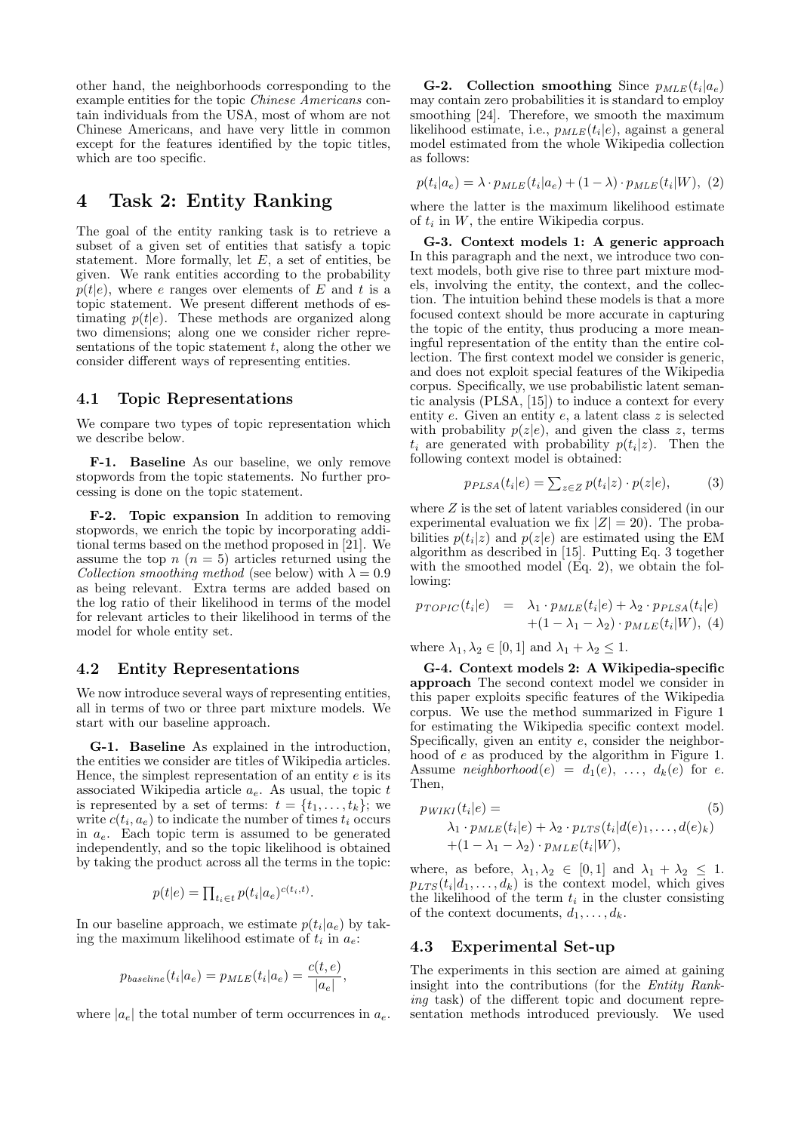other hand, the neighborhoods corresponding to the example entities for the topic Chinese Americans contain individuals from the USA, most of whom are not Chinese Americans, and have very little in common except for the features identified by the topic titles, which are too specific.

## 4 Task 2: Entity Ranking

The goal of the entity ranking task is to retrieve a subset of a given set of entities that satisfy a topic statement. More formally, let  $E$ , a set of entities, be given. We rank entities according to the probability  $p(t|e)$ , where e ranges over elements of E and t is a topic statement. We present different methods of estimating  $p(t|e)$ . These methods are organized along two dimensions; along one we consider richer representations of the topic statement  $t$ , along the other we consider different ways of representing entities.

#### 4.1 Topic Representations

We compare two types of topic representation which we describe below.

F-1. Baseline As our baseline, we only remove stopwords from the topic statements. No further processing is done on the topic statement.

F-2. Topic expansion In addition to removing stopwords, we enrich the topic by incorporating additional terms based on the method proposed in [21]. We assume the top  $n (n = 5)$  articles returned using the Collection smoothing method (see below) with  $\lambda = 0.9$ as being relevant. Extra terms are added based on the log ratio of their likelihood in terms of the model for relevant articles to their likelihood in terms of the model for whole entity set.

#### 4.2 Entity Representations

We now introduce several ways of representing entities, all in terms of two or three part mixture models. We start with our baseline approach.

G-1. Baseline As explained in the introduction, the entities we consider are titles of Wikipedia articles. Hence, the simplest representation of an entity  $e$  is its associated Wikipedia article  $a_e$ . As usual, the topic  $t$ is represented by a set of terms:  $t = \{t_1, \ldots, t_k\}$ ; we write  $c(t_i, a_e)$  to indicate the number of times  $t_i$  occurs in  $a_e$ . Each topic term is assumed to be generated independently, and so the topic likelihood is obtained by taking the product across all the terms in the topic:

$$
p(t|e) = \prod_{t_i \in t} p(t_i|a_e)^{c(t_i, t)}.
$$

In our baseline approach, we estimate  $p(t_i|a_e)$  by taking the maximum likelihood estimate of  $t_i$  in  $a_e$ :

$$
p_{baseline}(t_i|a_e) = p_{MLE}(t_i|a_e) = \frac{c(t,e)}{|a_e|},
$$

where  $|a_e|$  the total number of term occurrences in  $a_e$ .

**G-2.** Collection smoothing Since  $p_{MLE}(t_i|a_e)$ may contain zero probabilities it is standard to employ smoothing [24]. Therefore, we smooth the maximum likelihood estimate, i.e.,  $p_{MLE}(t_i|e)$ , against a general model estimated from the whole Wikipedia collection as follows:

$$
p(t_i|a_e) = \lambda \cdot p_{MLE}(t_i|a_e) + (1-\lambda) \cdot p_{MLE}(t_i|W), (2)
$$

where the latter is the maximum likelihood estimate of  $t_i$  in  $W$ , the entire Wikipedia corpus.

G-3. Context models 1: A generic approach In this paragraph and the next, we introduce two context models, both give rise to three part mixture models, involving the entity, the context, and the collection. The intuition behind these models is that a more focused context should be more accurate in capturing the topic of the entity, thus producing a more meaningful representation of the entity than the entire collection. The first context model we consider is generic, and does not exploit special features of the Wikipedia corpus. Specifically, we use probabilistic latent semantic analysis (PLSA, [15]) to induce a context for every entity  $e$ . Given an entity  $e$ , a latent class  $z$  is selected with probability  $p(z|e)$ , and given the class z, terms  $t_i$  are generated with probability  $p(t_i|z)$ . Then the following context model is obtained:

$$
p_{PLSA}(t_i|e) = \sum_{z \in Z} p(t_i|z) \cdot p(z|e), \tag{3}
$$

where Z is the set of latent variables considered (in our experimental evaluation we fix  $|Z| = 20$ ). The probabilities  $p(t_i|z)$  and  $p(z|e)$  are estimated using the EM algorithm as described in [15]. Putting Eq. 3 together with the smoothed model (Eq. 2), we obtain the following:

$$
p_{TOPIC}(t_i|e) = \lambda_1 \cdot p_{MLE}(t_i|e) + \lambda_2 \cdot p_{PLSA}(t_i|e) + (1 - \lambda_1 - \lambda_2) \cdot p_{MLE}(t_i|W),
$$
 (4)

where  $\lambda_1, \lambda_2 \in [0, 1]$  and  $\lambda_1 + \lambda_2 \leq 1$ .

G-4. Context models 2: A Wikipedia-specific approach The second context model we consider in this paper exploits specific features of the Wikipedia corpus. We use the method summarized in Figure 1 for estimating the Wikipedia specific context model. Specifically, given an entity  $e$ , consider the neighborhood of e as produced by the algorithm in Figure 1. Assume neighborhood(e) =  $d_1(e), \ldots, d_k(e)$  for e. Then,

$$
p_{WIKI}(t_i|e) = (5)
$$
  
\n
$$
\lambda_1 \cdot p_{MLE}(t_i|e) + \lambda_2 \cdot p_{LTS}(t_i|d(e)_1, \dots, d(e)_k)
$$
  
\n
$$
+(1 - \lambda_1 - \lambda_2) \cdot p_{MLE}(t_i|W),
$$

where, as before,  $\lambda_1, \lambda_2 \in [0,1]$  and  $\lambda_1 + \lambda_2 \leq 1$ .  $p_{LTS}(t_i|d_1,\ldots,d_k)$  is the context model, which gives the likelihood of the term  $t_i$  in the cluster consisting of the context documents,  $d_1, \ldots, d_k$ .

### 4.3 Experimental Set-up

The experiments in this section are aimed at gaining insight into the contributions (for the Entity Ranking task) of the different topic and document representation methods introduced previously. We used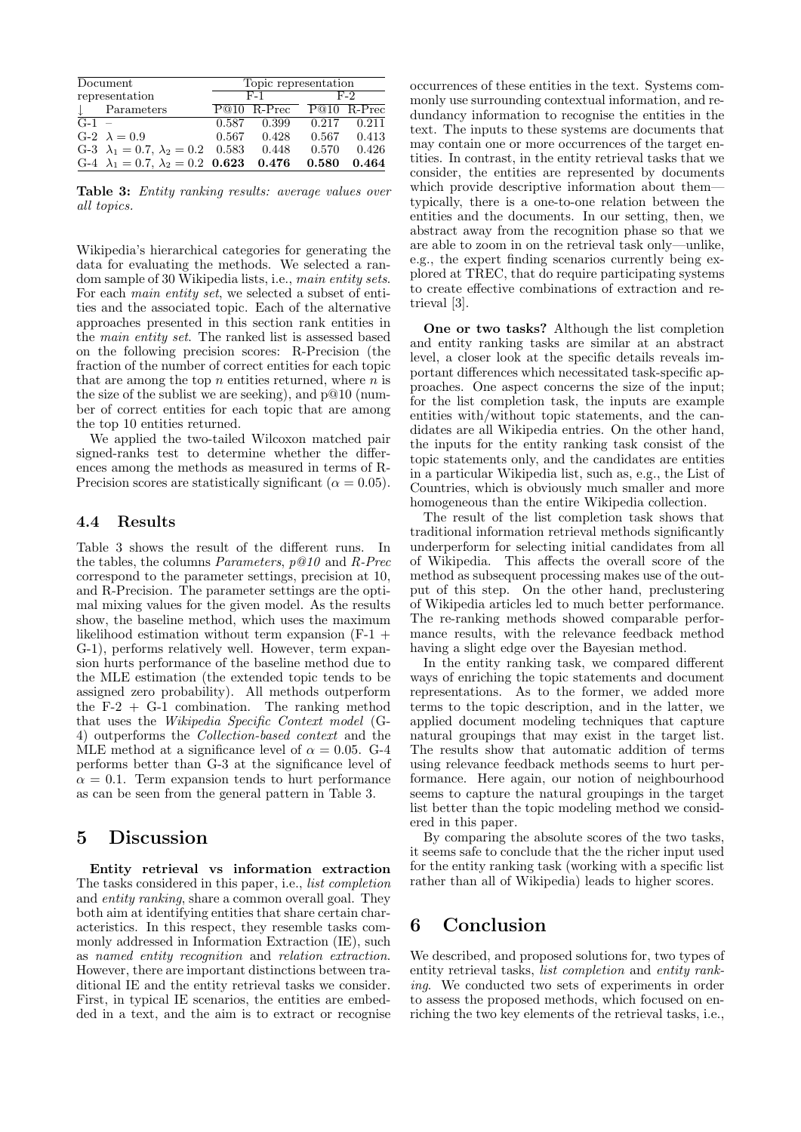|                | Document                                        |       | Topic representation |                             |                 |  |
|----------------|-------------------------------------------------|-------|----------------------|-----------------------------|-----------------|--|
| representation |                                                 | $F-1$ |                      | F-2                         |                 |  |
|                | Parameters                                      |       |                      | $P@10$ R-Prec $P@10$ R-Prec |                 |  |
| $G-1 =$        |                                                 | 0.587 | 0.399                | 0.217                       | 0.211           |  |
|                | $G-2$ $\lambda = 0.9$                           | 0.567 | 0.428                |                             | $0.567$ $0.413$ |  |
|                | G-3 $\lambda_1 = 0.7, \lambda_2 = 0.2$ 0.583    |       | 0.448                | 0.570                       | 0.426           |  |
|                | G-4 $\lambda_1 = 0.7$ , $\lambda_2 = 0.2$ 0.623 |       | 0.476                | 0.580                       | 0.464           |  |

Table 3: Entity ranking results: average values over all topics.

Wikipedia's hierarchical categories for generating the data for evaluating the methods. We selected a random sample of 30 Wikipedia lists, i.e., main entity sets. For each *main entity set*, we selected a subset of entities and the associated topic. Each of the alternative approaches presented in this section rank entities in the main entity set. The ranked list is assessed based on the following precision scores: R-Precision (the fraction of the number of correct entities for each topic that are among the top  $n$  entities returned, where  $n$  is the size of the sublist we are seeking), and p@10 (number of correct entities for each topic that are among the top 10 entities returned.

We applied the two-tailed Wilcoxon matched pair signed-ranks test to determine whether the differences among the methods as measured in terms of R-Precision scores are statistically significant ( $\alpha = 0.05$ ).

### 4.4 Results

Table 3 shows the result of the different runs. In the tables, the columns Parameters, p@10 and R-Prec correspond to the parameter settings, precision at 10, and R-Precision. The parameter settings are the optimal mixing values for the given model. As the results show, the baseline method, which uses the maximum likelihood estimation without term expansion (F-1 + G-1), performs relatively well. However, term expansion hurts performance of the baseline method due to the MLE estimation (the extended topic tends to be assigned zero probability). All methods outperform the  $F-2 + G-1$  combination. The ranking method that uses the Wikipedia Specific Context model (G-4) outperforms the Collection-based context and the MLE method at a significance level of  $\alpha = 0.05$ . G-4 performs better than G-3 at the significance level of  $\alpha = 0.1$ . Term expansion tends to hurt performance as can be seen from the general pattern in Table 3.

### 5 Discussion

Entity retrieval vs information extraction The tasks considered in this paper, i.e., list completion and entity ranking, share a common overall goal. They both aim at identifying entities that share certain characteristics. In this respect, they resemble tasks commonly addressed in Information Extraction (IE), such as named entity recognition and relation extraction. However, there are important distinctions between traditional IE and the entity retrieval tasks we consider. First, in typical IE scenarios, the entities are embedded in a text, and the aim is to extract or recognise occurrences of these entities in the text. Systems commonly use surrounding contextual information, and redundancy information to recognise the entities in the text. The inputs to these systems are documents that may contain one or more occurrences of the target entities. In contrast, in the entity retrieval tasks that we consider, the entities are represented by documents which provide descriptive information about them typically, there is a one-to-one relation between the entities and the documents. In our setting, then, we abstract away from the recognition phase so that we are able to zoom in on the retrieval task only—unlike, e.g., the expert finding scenarios currently being explored at TREC, that do require participating systems to create effective combinations of extraction and retrieval [3].

One or two tasks? Although the list completion and entity ranking tasks are similar at an abstract level, a closer look at the specific details reveals important differences which necessitated task-specific approaches. One aspect concerns the size of the input; for the list completion task, the inputs are example entities with/without topic statements, and the candidates are all Wikipedia entries. On the other hand, the inputs for the entity ranking task consist of the topic statements only, and the candidates are entities in a particular Wikipedia list, such as, e.g., the List of Countries, which is obviously much smaller and more homogeneous than the entire Wikipedia collection.

The result of the list completion task shows that traditional information retrieval methods significantly underperform for selecting initial candidates from all of Wikipedia. This affects the overall score of the method as subsequent processing makes use of the output of this step. On the other hand, preclustering of Wikipedia articles led to much better performance. The re-ranking methods showed comparable performance results, with the relevance feedback method having a slight edge over the Bayesian method.

In the entity ranking task, we compared different ways of enriching the topic statements and document representations. As to the former, we added more terms to the topic description, and in the latter, we applied document modeling techniques that capture natural groupings that may exist in the target list. The results show that automatic addition of terms using relevance feedback methods seems to hurt performance. Here again, our notion of neighbourhood seems to capture the natural groupings in the target list better than the topic modeling method we considered in this paper.

By comparing the absolute scores of the two tasks, it seems safe to conclude that the the richer input used for the entity ranking task (working with a specific list rather than all of Wikipedia) leads to higher scores.

## 6 Conclusion

We described, and proposed solutions for, two types of entity retrieval tasks, list completion and entity ranking. We conducted two sets of experiments in order to assess the proposed methods, which focused on enriching the two key elements of the retrieval tasks, i.e.,